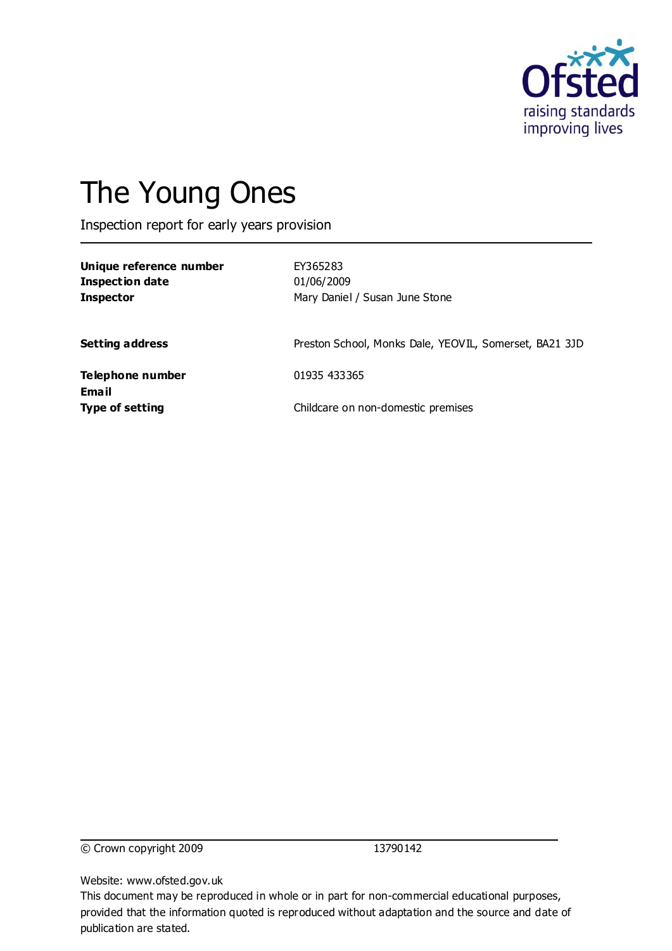

# The Young Ones

Inspection report for early years provision

| Unique reference number<br><b>Inspection date</b><br><b>Inspector</b> | EY365283<br>01/06/2009<br>Mary Daniel / Susan June Stone |
|-----------------------------------------------------------------------|----------------------------------------------------------|
| <b>Setting address</b>                                                | Preston School, Monks Dale, YEOVIL, Somerset, BA21 3JD   |
| Telephone number<br>Email                                             | 01935 433365                                             |
| <b>Type of setting</b>                                                | Childcare on non-domestic premises                       |

© Crown copyright 2009 13790142

Website: www.ofsted.gov.uk

This document may be reproduced in whole or in part for non-commercial educational purposes, provided that the information quoted is reproduced without adaptation and the source and date of publication are stated.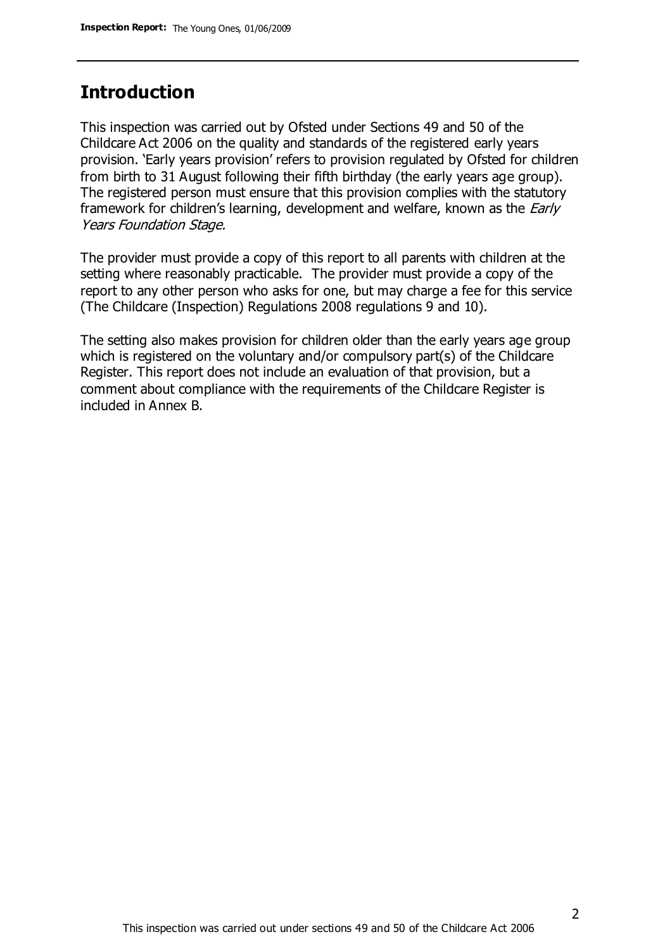#### **Introduction**

This inspection was carried out by Ofsted under Sections 49 and 50 of the Childcare Act 2006 on the quality and standards of the registered early years provision. 'Early years provision' refers to provision regulated by Ofsted for children from birth to 31 August following their fifth birthday (the early years age group). The registered person must ensure that this provision complies with the statutory framework for children's learning, development and welfare, known as the *Early* Years Foundation Stage.

The provider must provide a copy of this report to all parents with children at the setting where reasonably practicable. The provider must provide a copy of the report to any other person who asks for one, but may charge a fee for this service (The Childcare (Inspection) Regulations 2008 regulations 9 and 10).

The setting also makes provision for children older than the early years age group which is registered on the voluntary and/or compulsory part(s) of the Childcare Register. This report does not include an evaluation of that provision, but a comment about compliance with the requirements of the Childcare Register is included in Annex B.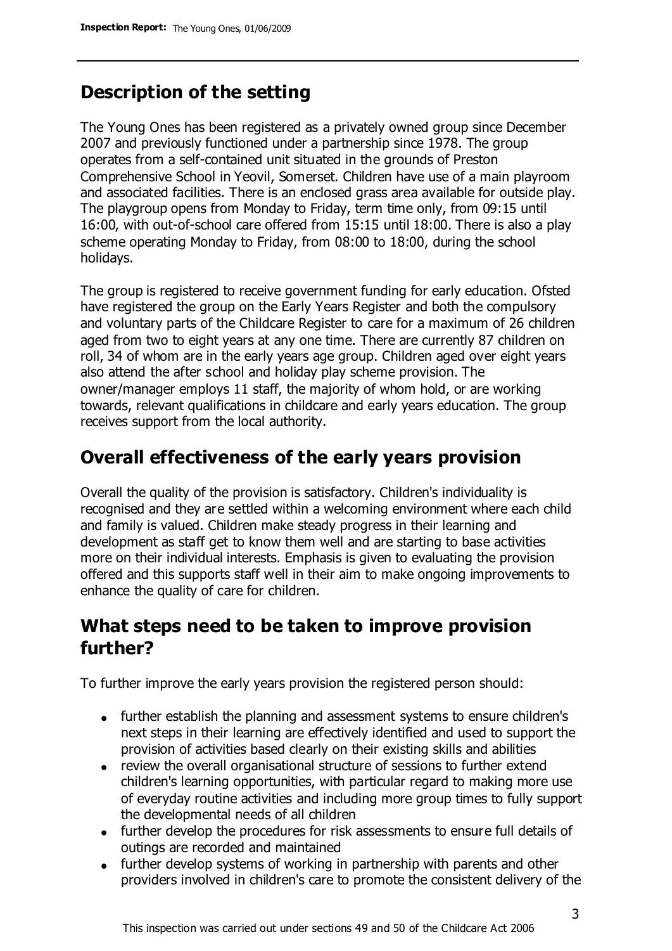# **Description of the setting**

The Young Ones has been registered as a privately owned group since December 2007 and previously functioned under a partnership since 1978. The group operates from a self-contained unit situated in the grounds of Preston Comprehensive School in Yeovil, Somerset. Children have use of a main playroom and associated facilities. There is an enclosed grass area available for outside play. The playgroup opens from Monday to Friday, term time only, from 09:15 until 16:00, with out-of-school care offered from 15:15 until 18:00. There is also a play scheme operating Monday to Friday, from 08:00 to 18:00, during the school holidays.

The group is registered to receive government funding for early education. Ofsted have registered the group on the Early Years Register and both the compulsory and voluntary parts of the Childcare Register to care for a maximum of 26 children aged from two to eight years at any one time. There are currently 87 children on roll, 34 of whom are in the early years age group. Children aged over eight years also attend the after school and holiday play scheme provision. The owner/manager employs 11 staff, the majority of whom hold, or are working towards, relevant qualifications in childcare and early years education. The group receives support from the local authority.

## **Overall effectiveness of the early years provision**

Overall the quality of the provision is satisfactory. Children's individuality is recognised and they are settled within a welcoming environment where each child and family is valued. Children make steady progress in their learning and development as staff get to know them well and are starting to base activities more on their individual interests. Emphasis is given to evaluating the provision offered and this supports staff well in their aim to make ongoing improvements to enhance the quality of care for children.

## **What steps need to be taken to improve provision further?**

To further improve the early years provision the registered person should:

- further establish the planning and assessment systems to ensure children's next steps in their learning are effectively identified and used to support the provision of activities based clearly on their existing skills and abilities
- review the overall organisational structure of sessions to further extend children's learning opportunities, with particular regard to making more use of everyday routine activities and including more group times to fully support the developmental needs of all children
- further develop the procedures for risk assessments to ensure full details of outings are recorded and maintained
- further develop systems of working in partnership with parents and other providers involved in children's care to promote the consistent delivery of the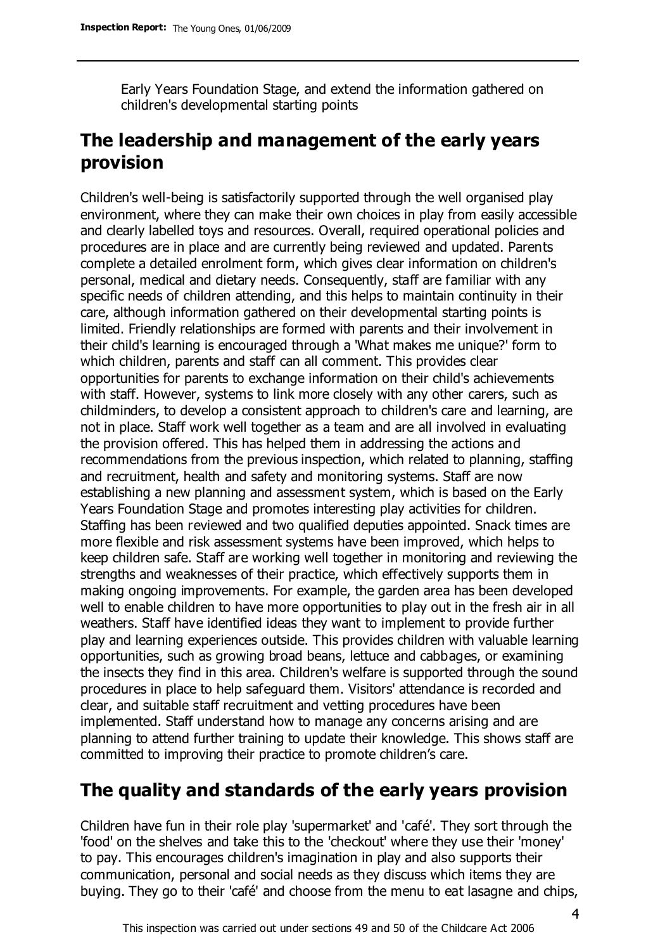Early Years Foundation Stage, and extend the information gathered on children's developmental starting points

# **The leadership and management of the early years provision**

Children's well-being is satisfactorily supported through the well organised play environment, where they can make their own choices in play from easily accessible and clearly labelled toys and resources. Overall, required operational policies and procedures are in place and are currently being reviewed and updated. Parents complete a detailed enrolment form, which gives clear information on children's personal, medical and dietary needs. Consequently, staff are familiar with any specific needs of children attending, and this helps to maintain continuity in their care, although information gathered on their developmental starting points is limited. Friendly relationships are formed with parents and their involvement in their child's learning is encouraged through a 'What makes me unique?' form to which children, parents and staff can all comment. This provides clear opportunities for parents to exchange information on their child's achievements with staff. However, systems to link more closely with any other carers, such as childminders, to develop a consistent approach to children's care and learning, are not in place. Staff work well together as a team and are all involved in evaluating the provision offered. This has helped them in addressing the actions and recommendations from the previous inspection, which related to planning, staffing and recruitment, health and safety and monitoring systems. Staff are now establishing a new planning and assessment system, which is based on the Early Years Foundation Stage and promotes interesting play activities for children. Staffing has been reviewed and two qualified deputies appointed. Snack times are more flexible and risk assessment systems have been improved, which helps to keep children safe. Staff are working well together in monitoring and reviewing the strengths and weaknesses of their practice, which effectively supports them in making ongoing improvements. For example, the garden area has been developed well to enable children to have more opportunities to play out in the fresh air in all weathers. Staff have identified ideas they want to implement to provide further play and learning experiences outside. This provides children with valuable learning opportunities, such as growing broad beans, lettuce and cabbages, or examining the insects they find in this area. Children's welfare is supported through the sound procedures in place to help safeguard them. Visitors' attendance is recorded and clear, and suitable staff recruitment and vetting procedures have been implemented. Staff understand how to manage any concerns arising and are planning to attend further training to update their knowledge. This shows staff are committed to improving their practice to promote children's care.

# **The quality and standards of the early years provision**

Children have fun in their role play 'supermarket' and 'café'. They sort through the 'food' on the shelves and take this to the 'checkout' where they use their 'money' to pay. This encourages children's imagination in play and also supports their communication, personal and social needs as they discuss which items they are buying. They go to their 'café' and choose from the menu to eat lasagne and chips,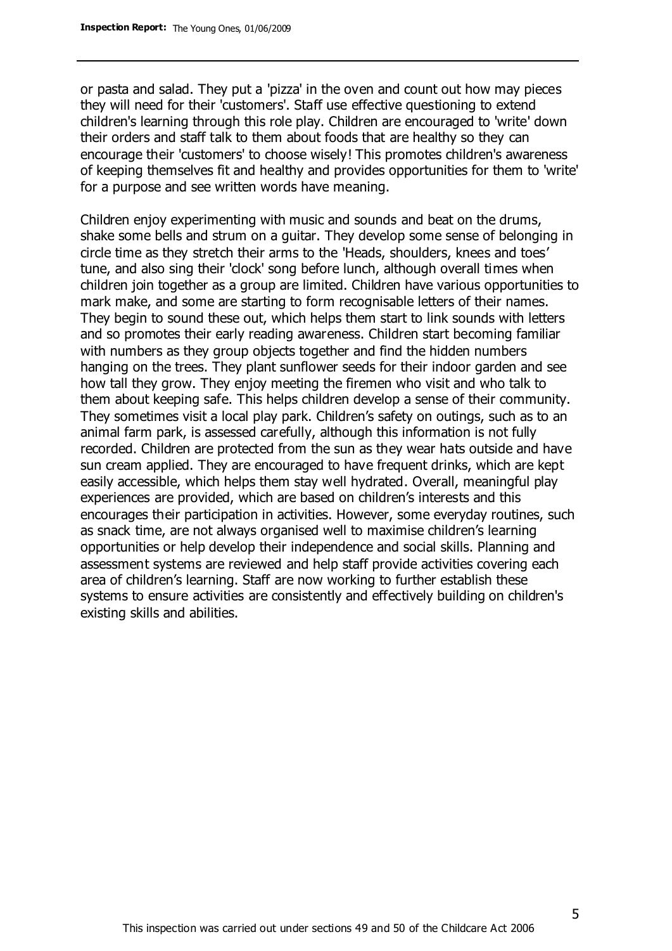or pasta and salad. They put a 'pizza' in the oven and count out how may pieces they will need for their 'customers'. Staff use effective questioning to extend children's learning through this role play. Children are encouraged to 'write' down their orders and staff talk to them about foods that are healthy so they can encourage their 'customers' to choose wisely! This promotes children's awareness of keeping themselves fit and healthy and provides opportunities for them to 'write' for a purpose and see written words have meaning.

Children enjoy experimenting with music and sounds and beat on the drums, shake some bells and strum on a guitar. They develop some sense of belonging in circle time as they stretch their arms to the 'Heads, shoulders, knees and toes' tune, and also sing their 'clock' song before lunch, although overall times when children join together as a group are limited. Children have various opportunities to mark make, and some are starting to form recognisable letters of their names. They begin to sound these out, which helps them start to link sounds with letters and so promotes their early reading awareness. Children start becoming familiar with numbers as they group objects together and find the hidden numbers hanging on the trees. They plant sunflower seeds for their indoor garden and see how tall they grow. They enjoy meeting the firemen who visit and who talk to them about keeping safe. This helps children develop a sense of their community. They sometimes visit a local play park. Children's safety on outings, such as to an animal farm park, is assessed carefully, although this information is not fully recorded. Children are protected from the sun as they wear hats outside and have sun cream applied. They are encouraged to have frequent drinks, which are kept easily accessible, which helps them stay well hydrated. Overall, meaningful play experiences are provided, which are based on children's interests and this encourages their participation in activities. However, some everyday routines, such as snack time, are not always organised well to maximise children's learning opportunities or help develop their independence and social skills. Planning and assessment systems are reviewed and help staff provide activities covering each area of children's learning. Staff are now working to further establish these systems to ensure activities are consistently and effectively building on children's existing skills and abilities.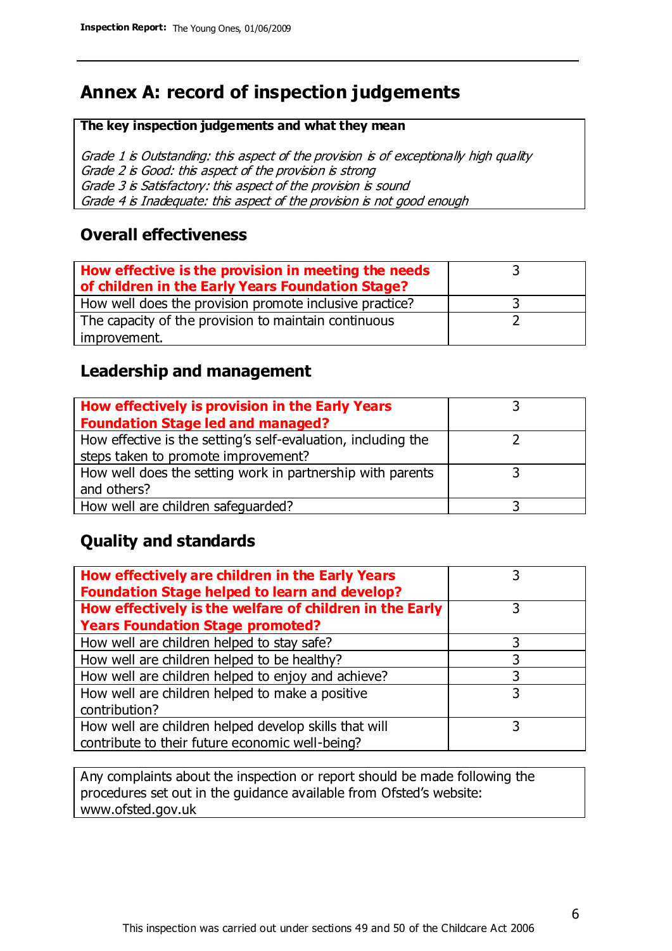# **Annex A: record of inspection judgements**

#### **The key inspection judgements and what they mean**

Grade 1 is Outstanding: this aspect of the provision is of exceptionally high quality Grade 2 is Good: this aspect of the provision is strong Grade 3 is Satisfactory: this aspect of the provision is sound Grade 4 is Inadequate: this aspect of the provision is not good enough

#### **Overall effectiveness**

| How effective is the provision in meeting the needs<br>of children in the Early Years Foundation Stage? |  |
|---------------------------------------------------------------------------------------------------------|--|
| How well does the provision promote inclusive practice?                                                 |  |
| The capacity of the provision to maintain continuous                                                    |  |
| improvement.                                                                                            |  |

#### **Leadership and management**

| How effectively is provision in the Early Years               |  |
|---------------------------------------------------------------|--|
| <b>Foundation Stage led and managed?</b>                      |  |
| How effective is the setting's self-evaluation, including the |  |
| steps taken to promote improvement?                           |  |
| How well does the setting work in partnership with parents    |  |
| and others?                                                   |  |
| How well are children safequarded?                            |  |

#### **Quality and standards**

| How effectively are children in the Early Years<br><b>Foundation Stage helped to learn and develop?</b> |   |
|---------------------------------------------------------------------------------------------------------|---|
| How effectively is the welfare of children in the Early                                                 | 3 |
| <b>Years Foundation Stage promoted?</b>                                                                 |   |
| How well are children helped to stay safe?                                                              |   |
| How well are children helped to be healthy?                                                             | 3 |
| How well are children helped to enjoy and achieve?                                                      | 3 |
| How well are children helped to make a positive                                                         | 3 |
| contribution?                                                                                           |   |
| How well are children helped develop skills that will                                                   |   |
| contribute to their future economic well-being?                                                         |   |

Any complaints about the inspection or report should be made following the procedures set out in the guidance available from Ofsted's website: www.ofsted.gov.uk